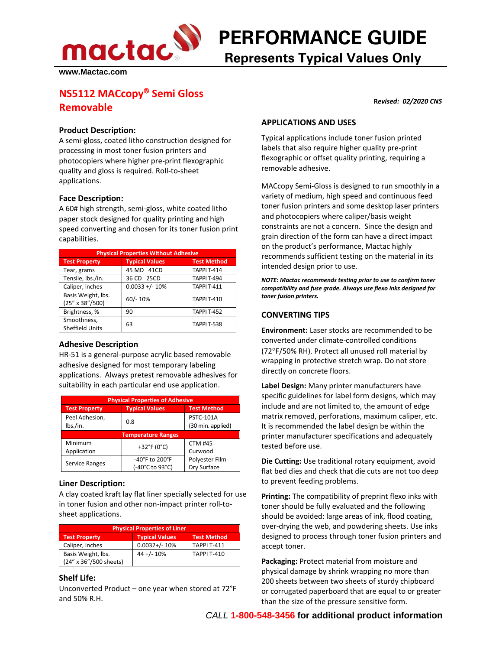**PERFORMANCE GUIDE**

**www.Mactac.com**

# **Represents Typical Values Only**

## **NS5112 MACcopy<sup>®</sup> Semi Gloss Removable**

#### **Product Description:**

A semi-gloss, coated litho construction designed for processing in most toner fusion printers and photocopiers where higher pre-print flexographic quality and gloss is required. Roll-to-sheet applications.

#### **Face Description:**

A 60# high strength, semi-gloss, white coated litho paper stock designed for quality printing and high speed converting and chosen for its toner fusion print capabilities.

| <b>Physical Properties Without Adhesive</b> |                       |                    |  |
|---------------------------------------------|-----------------------|--------------------|--|
| <b>Test Property</b>                        | <b>Typical Values</b> | <b>Test Method</b> |  |
| Tear, grams                                 | 45 MD 41CD            | <b>TAPPI T-414</b> |  |
| Tensile, lbs./in.                           | 36 CD 25CD            | <b>TAPPI T-494</b> |  |
| Caliper, inches                             | $0.0033 +/- 10%$      | <b>TAPPI T-411</b> |  |
| Basis Weight, lbs.<br>(25" x 38"/500)       | $60/- 10%$            | <b>TAPPI T-410</b> |  |
| Brightness, %                               | 90                    | <b>TAPPI T-452</b> |  |
| Smoothness,<br><b>Sheffield Units</b>       | 63                    | TAPPI T-538        |  |

#### **Adhesive Description**

HR-51 is a general-purpose acrylic based removable adhesive designed for most temporary labeling applications. Always pretest removable adhesives for suitability in each particular end use application.

| <b>Physical Properties of Adhesive</b> |                                   |                                       |  |  |
|----------------------------------------|-----------------------------------|---------------------------------------|--|--|
| <b>Test Property</b>                   | <b>Typical Values</b>             | <b>Test Method</b>                    |  |  |
| Peel Adhesion,<br>lbs./in.             | 0.8                               | <b>PSTC-101A</b><br>(30 min. applied) |  |  |
| <b>Temperature Ranges</b>              |                                   |                                       |  |  |
| Minimum<br>Application                 | +32°F (0°C)                       | <b>CTM #45</b><br>Curwood             |  |  |
| Service Ranges                         | -40°F to 200°F<br>(-40°C to 93°C) | Polyester Film<br>Dry Surface         |  |  |

#### **Liner Description:**

A clay coated kraft lay flat liner specially selected for use in toner fusion and other non-impact printer roll-tosheet applications.

| <b>Physical Properties of Liner</b>          |                       |                    |  |
|----------------------------------------------|-----------------------|--------------------|--|
| <b>Test Property</b>                         | <b>Typical Values</b> | <b>Test Method</b> |  |
| Caliper, inches                              | $0.0032 + / - 10%$    | <b>TAPPI T-411</b> |  |
| Basis Weight, lbs.<br>(24" x 36"/500 sheets) | $44 + (-10\%)$        | <b>TAPPI T-410</b> |  |

### **Shelf Life:**

Unconverted Product – one year when stored at 72°F and 50% R.H.

 **R***evised: 02/2020 CNS*

### **APPLICATIONS AND USES**

Typical applications include toner fusion printed labels that also require higher quality pre-print flexographic or offset quality printing, requiring a removable adhesive.

MACcopy Semi-Gloss is designed to run smoothly in a variety of medium, high speed and continuous feed toner fusion printers and some desktop laser printers and photocopiers where caliper/basis weight constraints are not a concern. Since the design and grain direction of the form can have a direct impact on the product's performance, Mactac highly recommends sufficient testing on the material in its intended design prior to use.

*NOTE: Mactac recommends testing prior to use to confirm toner compatibility and fuse grade. Always use flexo inks designed for toner fusion printers.*

### **CONVERTING TIPS**

**Environment:** Laser stocks are recommended to be converted under climate-controlled conditions (72°F/50% RH). Protect all unused roll material by wrapping in protective stretch wrap. Do not store directly on concrete floors.

**Label Design:** Many printer manufacturers have specific guidelines for label form designs, which may include and are not limited to, the amount of edge matrix removed, perforations, maximum caliper, etc. It is recommended the label design be within the printer manufacturer specifications and adequately tested before use.

**Die Cutting:** Use traditional rotary equipment, avoid flat bed dies and check that die cuts are not too deep to prevent feeding problems.

**Printing:** The compatibility of preprint flexo inks with toner should be fully evaluated and the following should be avoided: large areas of ink, flood coating, over-drying the web, and powdering sheets. Use inks designed to process through toner fusion printers and accept toner.

**Packaging:** Protect material from moisture and physical damage by shrink wrapping no more than 200 sheets between two sheets of sturdy chipboard or corrugated paperboard that are equal to or greater than the size of the pressure sensitive form.